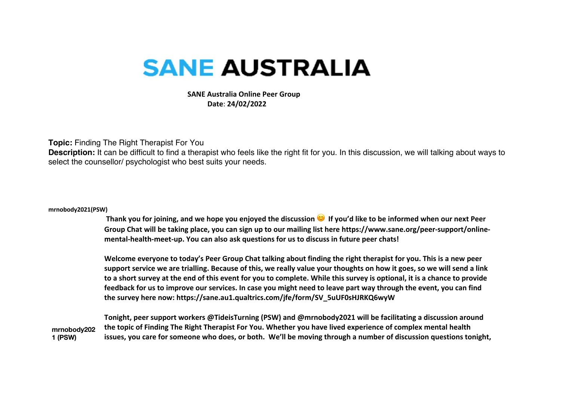## **SANE AUSTRALIA**

 **SANE Australia Online Peer Group Date**: **24/02/2022**

## **Topic:** Finding The Right Therapist For You

**Description:** It can be difficult to find a therapist who feels like the right fit for you. In this discussion, we will talking about ways to select the counsellor/ psychologist who best suits your needs.

## **mrnobody2021(PSW)**

**Thank you for joining, and we hope you enjoyed the discussion If you'd like to be informed when our next Peer Group Chat will be taking place, you can sign up to our mailing list here https://www.sane.org/peer-support/onlinemental-health-meet-up. You can also ask questions for us to discuss in future peer chats!** 

**Welcome everyone to today's Peer Group Chat talking about finding the right therapist for you. This is a new peer support service we are trialling. Because of this, we really value your thoughts on how it goes, so we will send a link to a short survey at the end of this event for you to complete. While this survey is optional, it is a chance to provide feedback for us to improve our services. In case you might need to leave part way through the event, you can find the survey here now: https://sane.au1.qualtrics.com/jfe/form/SV\_5uUF0sHJRKQ6wyW**

**mrnobody202 1 (PSW) Tonight, peer support workers @TideisTurning (PSW) and @mrnobody2021 will be facilitating a discussion around the topic of Finding The Right Therapist For You. Whether you have lived experience of complex mental health issues, you care for someone who does, or both. We'll be moving through a number of discussion questions tonight,**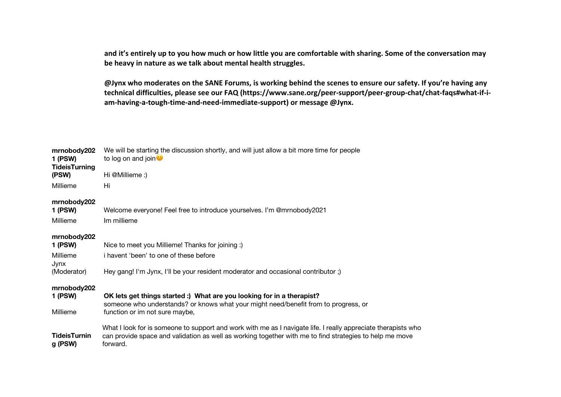**and it's entirely up to you how much or how little you are comfortable with sharing. Some of the conversation may be heavy in nature as we talk about mental health struggles.** 

**@Jynx who moderates on the SANE Forums, is working behind the scenes to ensure our safety. If you're having any technical difficulties, please see our FAQ (https://www.sane.org/peer-support/peer-group-chat/chat-faqs#what-if-iam-having-a-tough-time-and-need-immediate-support) or message @Jynx.**

| mrnobody202<br>1 (PSW)             | We will be starting the discussion shortly, and will just allow a bit more time for people<br>to log on and join $\bullet$                                                                                                           |
|------------------------------------|--------------------------------------------------------------------------------------------------------------------------------------------------------------------------------------------------------------------------------------|
| <b>TideisTurning</b><br>(PSW)      | Hi @Millieme :)                                                                                                                                                                                                                      |
| Millieme                           | Hi                                                                                                                                                                                                                                   |
| mrnobody202                        |                                                                                                                                                                                                                                      |
| 1 (PSW)<br>Millieme                | Welcome everyone! Feel free to introduce yourselves. I'm @mrnobody2021<br>Im millieme                                                                                                                                                |
| mrnobody202<br>1 (PSW)             | Nice to meet you Millieme! Thanks for joining :)                                                                                                                                                                                     |
| Millieme<br>Jynx                   | i havent 'been' to one of these before                                                                                                                                                                                               |
| (Moderator)                        | Hey gang! I'm Jynx, I'll be your resident moderator and occasional contributor;)                                                                                                                                                     |
| mrnobody202<br>1 (PSW)<br>Millieme | OK lets get things started :) What are you looking for in a therapist?<br>someone who understands? or knows what your might need/benefit from to progress, or<br>function or im not sure maybe,                                      |
| <b>TideisTurnin</b><br>g (PSW)     | What I look for is someone to support and work with me as I navigate life. I really appreciate therapists who<br>can provide space and validation as well as working together with me to find strategies to help me move<br>forward. |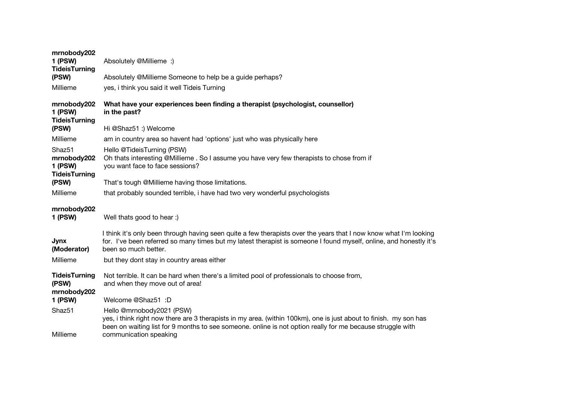| mrnobody202<br>1 (PSW)<br><b>TideisTurning</b><br>(PSW)<br>Millieme | Absolutely @Millieme :)<br>Absolutely @Millieme Someone to help be a guide perhaps?<br>yes, i think you said it well Tideis Turning                                                                                                                             |
|---------------------------------------------------------------------|-----------------------------------------------------------------------------------------------------------------------------------------------------------------------------------------------------------------------------------------------------------------|
| mrnobody202<br>1 (PSW)<br><b>TideisTurning</b><br>(PSW)             | What have your experiences been finding a therapist (psychologist, counsellor)<br>in the past?<br>Hi @Shaz51 :) Welcome                                                                                                                                         |
|                                                                     |                                                                                                                                                                                                                                                                 |
| Millieme                                                            | am in country area so havent had 'options' just who was physically here                                                                                                                                                                                         |
| Shaz <sub>51</sub><br>mrnobody202<br>1 (PSW)                        | Hello @TideisTurning (PSW)<br>Oh thats interesting @Millieme . So I assume you have very few therapists to chose from if<br>you want face to face sessions?                                                                                                     |
| <b>TideisTurning</b><br>(PSW)                                       | That's tough @Millieme having those limitations.                                                                                                                                                                                                                |
| Millieme                                                            | that probably sounded terrible, i have had two very wonderful psychologists                                                                                                                                                                                     |
| mrnobody202<br>1 (PSW)                                              | Well thats good to hear :)                                                                                                                                                                                                                                      |
| Jynx<br>(Moderator)                                                 | I think it's only been through having seen quite a few therapists over the years that I now know what I'm looking<br>for. I've been referred so many times but my latest therapist is someone I found myself, online, and honestly it's<br>been so much better. |
| Millieme                                                            | but they dont stay in country areas either                                                                                                                                                                                                                      |
| <b>TideisTurning</b><br>(PSW)<br>mrnobody202                        | Not terrible. It can be hard when there's a limited pool of professionals to choose from,<br>and when they move out of area!                                                                                                                                    |
| 1 (PSW)                                                             | Welcome @Shaz51 :D                                                                                                                                                                                                                                              |
| Shaz51                                                              | Hello @mrnobody2021 (PSW)<br>yes, i think right now there are 3 therapists in my area. (within 100km), one is just about to finish. my son has<br>been on waiting list for 9 months to see someone. online is not option really for me because struggle with    |
| Millieme                                                            | communication speaking                                                                                                                                                                                                                                          |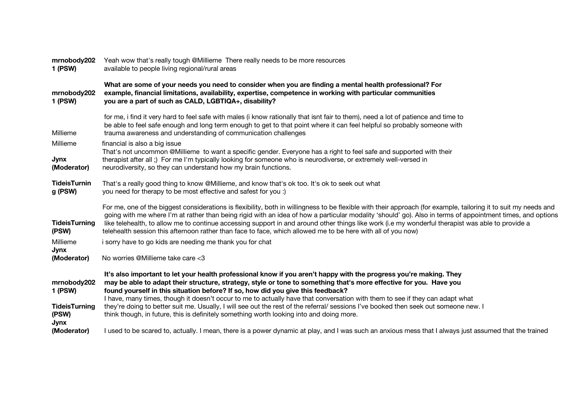| mrnobody202<br><b>1 (PSW)</b>                                          | Yeah wow that's really tough @Millieme There really needs to be more resources<br>available to people living regional/rural areas                                                                                                                                                                                                                                                                                                                                                                                                                                                                                                                                                               |
|------------------------------------------------------------------------|-------------------------------------------------------------------------------------------------------------------------------------------------------------------------------------------------------------------------------------------------------------------------------------------------------------------------------------------------------------------------------------------------------------------------------------------------------------------------------------------------------------------------------------------------------------------------------------------------------------------------------------------------------------------------------------------------|
| mrnobody202<br><b>1 (PSW)</b>                                          | What are some of your needs you need to consider when you are finding a mental health professional? For<br>example, financial limitations, availability, expertise, competence in working with particular communities<br>you are a part of such as CALD, LGBTIQA+, disability?                                                                                                                                                                                                                                                                                                                                                                                                                  |
| Millieme                                                               | for me, i find it very hard to feel safe with males (i know rationally that isnt fair to them), need a lot of patience and time to<br>be able to feel safe enough and long term enough to get to that point where it can feel helpful so probably someone with<br>trauma awareness and understanding of communication challenges                                                                                                                                                                                                                                                                                                                                                                |
| Millieme<br>Jynx<br>(Moderator)                                        | financial is also a big issue<br>That's not uncommon @Millieme to want a specific gender. Everyone has a right to feel safe and supported with their<br>therapist after all ;) For me I'm typically looking for someone who is neurodiverse, or extremely well-versed in<br>neurodiversity, so they can understand how my brain functions.                                                                                                                                                                                                                                                                                                                                                      |
| <b>TideisTurnin</b><br>g (PSW)                                         | That's a really good thing to know @Millieme, and know that's ok too. It's ok to seek out what<br>you need for therapy to be most effective and safest for you :)                                                                                                                                                                                                                                                                                                                                                                                                                                                                                                                               |
| <b>TideisTurning</b><br>(PSW)                                          | For me, one of the biggest considerations is flexibility, both in willingness to be flexible with their approach (for example, tailoring it to suit my needs and<br>going with me where I'm at rather than being rigid with an idea of how a particular modality 'should' go). Also in terms of appointment times, and options<br>like telehealth, to allow me to continue accessing support in and around other things like work (i.e my wonderful therapist was able to provide a<br>telehealth session this afternoon rather than face to face, which allowed me to be here with all of you now)                                                                                             |
| Millieme                                                               | i sorry have to go kids are needing me thank you for chat                                                                                                                                                                                                                                                                                                                                                                                                                                                                                                                                                                                                                                       |
| Jynx<br>(Moderator)                                                    | No worries @Millieme take care <3                                                                                                                                                                                                                                                                                                                                                                                                                                                                                                                                                                                                                                                               |
| mrnobody202<br><b>1 (PSW)</b><br><b>TideisTurning</b><br>(PSW)<br>Jynx | It's also important to let your health professional know if you aren't happy with the progress you're making. They<br>may be able to adapt their structure, strategy, style or tone to something that's more effective for you. Have you<br>found yourself in this situation before? If so, how did you give this feedback?<br>I have, many times, though it doesn't occur to me to actually have that conversation with them to see if they can adapt what<br>they're doing to better suit me. Usually, I will see out the rest of the referral/ sessions I've booked then seek out someone new. I<br>think though, in future, this is definitely something worth looking into and doing more. |
| (Moderator)                                                            | I used to be scared to, actually. I mean, there is a power dynamic at play, and I was such an anxious mess that I always just assumed that the trained                                                                                                                                                                                                                                                                                                                                                                                                                                                                                                                                          |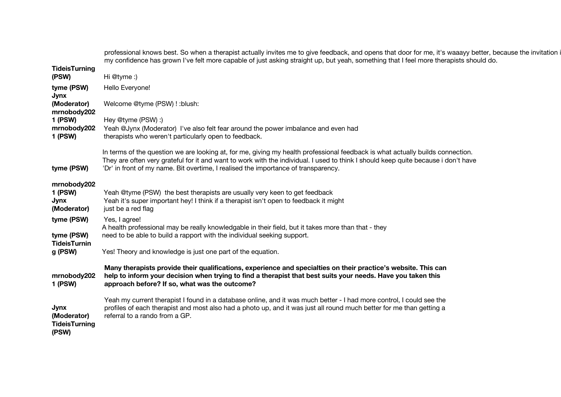|                                                      | professional knows best. So when a therapist actually invites me to give feedback, and opens that door for me, it's waaayy better, because the invitation i<br>my confidence has grown I've felt more capable of just asking straight up, but yeah, something that I feel more therapists should do.                                                       |
|------------------------------------------------------|------------------------------------------------------------------------------------------------------------------------------------------------------------------------------------------------------------------------------------------------------------------------------------------------------------------------------------------------------------|
| <b>TideisTurning</b><br>(PSW)                        | Hi @tyme:)                                                                                                                                                                                                                                                                                                                                                 |
| tyme (PSW)                                           | Hello Everyone!                                                                                                                                                                                                                                                                                                                                            |
| Jynx<br>(Moderator)<br>mrnobody202                   | Welcome @tyme (PSW) ! : blush:                                                                                                                                                                                                                                                                                                                             |
| 1 (PSW)<br>mrnobody202<br>1 (PSW)                    | Hey @tyme (PSW) :)<br>Yeah @Jynx (Moderator) I've also felt fear around the power imbalance and even had<br>therapists who weren't particularly open to feedback.                                                                                                                                                                                          |
| tyme (PSW)                                           | In terms of the question we are looking at, for me, giving my health professional feedback is what actually builds connection.<br>They are often very grateful for it and want to work with the individual. I used to think I should keep quite because i don't have<br>'Dr' in front of my name. Bit overtime, I realised the importance of transparency. |
| mrnobody202<br><b>1 (PSW)</b><br>Jynx<br>(Moderator) | Yeah @tyme (PSW) the best therapists are usually very keen to get feedback<br>Yeah it's super important hey! I think if a therapist isn't open to feedback it might<br>just be a red flag                                                                                                                                                                  |
| tyme (PSW)<br>tyme (PSW)<br><b>TideisTurnin</b>      | Yes, I agree!<br>A health professional may be really knowledgable in their field, but it takes more than that - they<br>need to be able to build a rapport with the individual seeking support.                                                                                                                                                            |
| g (PSW)                                              | Yes! Theory and knowledge is just one part of the equation.                                                                                                                                                                                                                                                                                                |
| mrnobody202<br>1 (PSW)                               | Many therapists provide their qualifications, experience and specialties on their practice's website. This can<br>help to inform your decision when trying to find a therapist that best suits your needs. Have you taken this<br>approach before? If so, what was the outcome?                                                                            |
| Jynx<br>(Moderator)<br><b>TideisTurning</b><br>(PSW) | Yeah my current therapist I found in a database online, and it was much better - I had more control, I could see the<br>profiles of each therapist and most also had a photo up, and it was just all round much better for me than getting a<br>referral to a rando from a GP.                                                                             |
|                                                      |                                                                                                                                                                                                                                                                                                                                                            |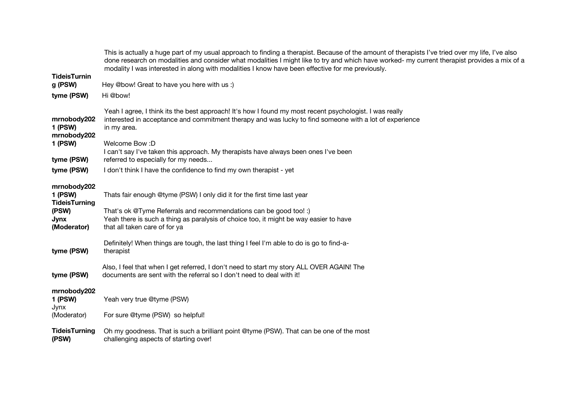|                                                                                | This is actually a huge part of my usual approach to finding a therapist. Because of the amount of therapists I've tried over my life, I've also<br>done research on modalities and consider what modalities I might like to try and which have worked- my current therapist provides a mix of a<br>modality I was interested in along with modalities I know have been effective for me previously. |
|--------------------------------------------------------------------------------|------------------------------------------------------------------------------------------------------------------------------------------------------------------------------------------------------------------------------------------------------------------------------------------------------------------------------------------------------------------------------------------------------|
| <b>TideisTurnin</b><br>g (PSW)                                                 | Hey @bow! Great to have you here with us :)                                                                                                                                                                                                                                                                                                                                                          |
| tyme (PSW)                                                                     | Hi @bow!                                                                                                                                                                                                                                                                                                                                                                                             |
| mrnobody202<br>1 (PSW)<br>mrnobody202                                          | Yeah I agree, I think its the best approach! It's how I found my most recent psychologist. I was really<br>interested in acceptance and commitment therapy and was lucky to find someone with a lot of experience<br>in my area.                                                                                                                                                                     |
| 1 (PSW)<br>tyme (PSW)                                                          | Welcome Bow: D<br>I can't say I've taken this approach. My therapists have always been ones I've been<br>referred to especially for my needs                                                                                                                                                                                                                                                         |
| tyme (PSW)                                                                     | I don't think I have the confidence to find my own therapist - yet                                                                                                                                                                                                                                                                                                                                   |
| mrnobody202<br>1 (PSW)<br><b>TideisTurning</b><br>(PSW)<br>Jynx<br>(Moderator) | Thats fair enough @tyme (PSW) I only did it for the first time last year<br>That's ok @Tyme Referrals and recommendations can be good too! :)<br>Yeah there is such a thing as paralysis of choice too, it might be way easier to have<br>that all taken care of for ya                                                                                                                              |
| tyme (PSW)                                                                     | Definitely! When things are tough, the last thing I feel I'm able to do is go to find-a-<br>therapist                                                                                                                                                                                                                                                                                                |
| tyme (PSW)                                                                     | Also, I feel that when I get referred, I don't need to start my story ALL OVER AGAIN! The<br>documents are sent with the referral so I don't need to deal with it!                                                                                                                                                                                                                                   |
| mrnobody202<br>1 (PSW)<br>Jynx                                                 | Yeah very true @tyme (PSW)                                                                                                                                                                                                                                                                                                                                                                           |
| (Moderator)                                                                    | For sure @tyme (PSW) so helpful!                                                                                                                                                                                                                                                                                                                                                                     |
| <b>TideisTurning</b><br>(PSW)                                                  | Oh my goodness. That is such a brilliant point @tyme (PSW). That can be one of the most<br>challenging aspects of starting over!                                                                                                                                                                                                                                                                     |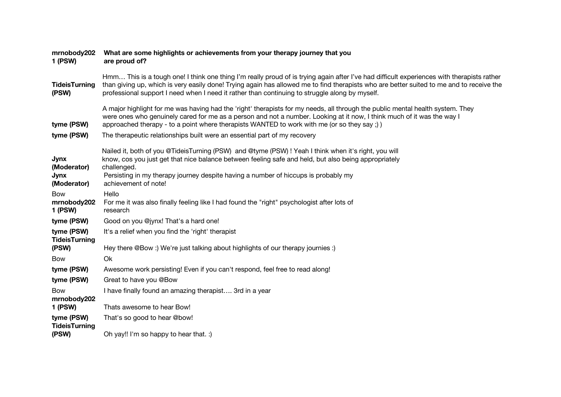| mrnobody202<br>1 (PSW)                    | What are some highlights or achievements from your therapy journey that you<br>are proud of?                                                                                                                                                                                                                                                                                             |
|-------------------------------------------|------------------------------------------------------------------------------------------------------------------------------------------------------------------------------------------------------------------------------------------------------------------------------------------------------------------------------------------------------------------------------------------|
| <b>TideisTurning</b><br>(PSW)             | Hmm This is a tough one! I think one thing I'm really proud of is trying again after I've had difficult experiences with therapists rather<br>than giving up, which is very easily done! Trying again has allowed me to find therapists who are better suited to me and to receive the<br>professional support I need when I need it rather than continuing to struggle along by myself. |
| tyme (PSW)                                | A major highlight for me was having had the 'right' therapists for my needs, all through the public mental health system. They<br>were ones who genuinely cared for me as a person and not a number. Looking at it now, I think much of it was the way I<br>approached therapy - to a point where therapists WANTED to work with me (or so they say;)                                    |
| tyme (PSW)                                | The therapeutic relationships built were an essential part of my recovery                                                                                                                                                                                                                                                                                                                |
| <b>Jynx</b><br>(Moderator)<br><b>Jynx</b> | Nailed it, both of you @TideisTurning (PSW) and @tyme (PSW) ! Yeah I think when it's right, you will<br>know, cos you just get that nice balance between feeling safe and held, but also being appropriately<br>challenged.<br>Persisting in my therapy journey despite having a number of hiccups is probably my                                                                        |
| (Moderator)                               | achievement of note!                                                                                                                                                                                                                                                                                                                                                                     |
| <b>Bow</b>                                | Hello                                                                                                                                                                                                                                                                                                                                                                                    |
| mrnobody202<br><b>1 (PSW)</b>             | For me it was also finally feeling like I had found the "right" psychologist after lots of<br>research                                                                                                                                                                                                                                                                                   |
| tyme (PSW)                                | Good on you @jynx! That's a hard one!                                                                                                                                                                                                                                                                                                                                                    |
| tyme (PSW)<br><b>TideisTurning</b>        | It's a relief when you find the 'right' therapist                                                                                                                                                                                                                                                                                                                                        |
| (PSW)                                     | Hey there @Bow :) We're just talking about highlights of our therapy journies :)                                                                                                                                                                                                                                                                                                         |
| <b>Bow</b>                                | Ok                                                                                                                                                                                                                                                                                                                                                                                       |
| tyme (PSW)                                | Awesome work persisting! Even if you can't respond, feel free to read along!                                                                                                                                                                                                                                                                                                             |
| tyme (PSW)                                | Great to have you @Bow                                                                                                                                                                                                                                                                                                                                                                   |
| <b>Bow</b><br>mrnobody202                 | I have finally found an amazing therapist 3rd in a year                                                                                                                                                                                                                                                                                                                                  |
| <b>1 (PSW)</b>                            | Thats awesome to hear Bow!                                                                                                                                                                                                                                                                                                                                                               |
| tyme (PSW)<br><b>TideisTurning</b>        | That's so good to hear @bow!                                                                                                                                                                                                                                                                                                                                                             |
| (PSW)                                     | Oh yay!! I'm so happy to hear that. :)                                                                                                                                                                                                                                                                                                                                                   |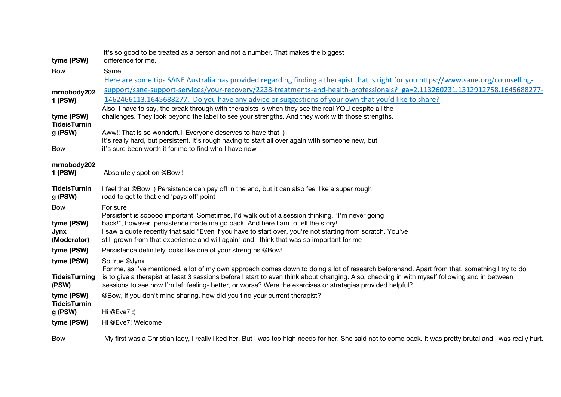|                                | It's so good to be treated as a person and not a number. That makes the biggest                                                                             |
|--------------------------------|-------------------------------------------------------------------------------------------------------------------------------------------------------------|
| tyme (PSW)                     | difference for me.                                                                                                                                          |
| <b>Bow</b>                     | Same                                                                                                                                                        |
|                                | Here are some tips SANE Australia has provided regarding finding a therapist that is right for you https://www.sane.org/counselling-                        |
| mrnobody202                    | support/sane-support-services/your-recovery/2238-treatments-and-health-professionals? ga=2.113260231.1312912758.1645688277-                                 |
| 1 (PSW)                        | 1462466113.1645688277. Do you have any advice or suggestions of your own that you'd like to share?                                                          |
|                                | Also, I have to say, the break through with therapists is when they see the real YOU despite all the                                                        |
| tyme (PSW)                     | challenges. They look beyond the label to see your strengths. And they work with those strengths.                                                           |
| <b>TideisTurnin</b><br>g (PSW) | Aww!! That is so wonderful. Everyone deserves to have that :)                                                                                               |
|                                | It's really hard, but persistent. It's rough having to start all over again with someone new, but                                                           |
| <b>Bow</b>                     | it's sure been worth it for me to find who I have now                                                                                                       |
|                                |                                                                                                                                                             |
| mrnobody202                    |                                                                                                                                                             |
| <b>1 (PSW)</b>                 | Absolutely spot on @Bow !                                                                                                                                   |
| <b>TideisTurnin</b>            | I feel that @Bow :) Persistence can pay off in the end, but it can also feel like a super rough                                                             |
| g (PSW)                        | road to get to that end 'pays off' point                                                                                                                    |
| Bow                            | For sure                                                                                                                                                    |
|                                | Persistent is sooooo important! Sometimes, I'd walk out of a session thinking, "I'm never going                                                             |
| tyme (PSW)                     | back!", however, persistence made me go back. And here I am to tell the story!                                                                              |
| <b>Jynx</b>                    | I saw a quote recently that said "Even if you have to start over, you're not starting from scratch. You've                                                  |
| (Moderator)                    | still grown from that experience and will again" and I think that was so important for me                                                                   |
| tyme (PSW)                     | Persistence definitely looks like one of your strengths @Bow!                                                                                               |
| tyme (PSW)                     | So true @Jynx                                                                                                                                               |
|                                | For me, as I've mentioned, a lot of my own approach comes down to doing a lot of research beforehand. Apart from that, something I try to do                |
| <b>TideisTurning</b>           | is to give a therapist at least 3 sessions before I start to even think about changing. Also, checking in with myself following and in between              |
| (PSW)                          | sessions to see how I'm left feeling- better, or worse? Were the exercises or strategies provided helpful?                                                  |
| tyme (PSW)                     | @Bow, if you don't mind sharing, how did you find your current therapist?                                                                                   |
| <b>TideisTurnin</b>            |                                                                                                                                                             |
| g (PSW)                        | Hi @Eve7 :)                                                                                                                                                 |
| tyme (PSW)                     | Hi @Eve7! Welcome                                                                                                                                           |
| Bow                            | My first was a Christian lady, I really liked her. But I was too high needs for her. She said not to come back. It was pretty brutal and I was really hurt. |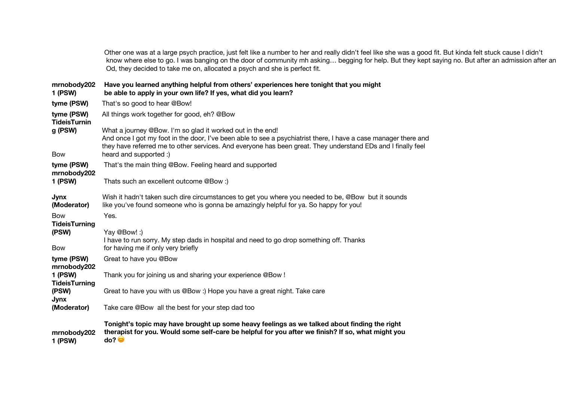Other one was at a large psych practice, just felt like a number to her and really didn't feel like she was a good fit. But kinda felt stuck cause I didn't know where else to go. I was banging on the door of community mh asking… begging for help. But they kept saying no. But after an admission after an Od, they decided to take me on, allocated a psych and she is perfect fit.

**mrnobody202 1 (PSW) Have you learned anything helpful from others' experiences here tonight that you might be able to apply in your own life? If yes, what did you learn? tyme (PSW)** That's so good to hear @Bow! **tyme (PSW)** All things work together for good, eh? @Bow **TideisTurnin g (PSW)** What a journey @Bow. I'm so glad it worked out in the end! Bow And once I got my foot in the door, I've been able to see a psychiatrist there, I have a case manager there and they have referred me to other services. And everyone has been great. They understand EDs and I finally feel heard and supported :) **tyme (PSW)** That's the main thing @Bow. Feeling heard and supported **mrnobody202 1 (PSW)** Thats such an excellent outcome @Bow :) **Jynx (Moderator)** Wish it hadn't taken such dire circumstances to get you where you needed to be, @Bow but it sounds like you've found someone who is gonna be amazingly helpful for ya. So happy for you! Bow Yes. **TideisTurning (PSW)** Yay @Bow! :) Bow I have to run sorry. My step dads in hospital and need to go drop something off. Thanks for having me if only very briefly **tyme (PSW)** Great to have you @Bow **mrnobody202 1 (PSW)** Thank you for joining us and sharing your experience @Bow ! **TideisTurning (PSW)** Great to have you with us @Bow :) Hope you have a great night. Take care **Jynx (Moderator)** Take care @Bow all the best for your step dad too **mrnobody202 1 (PSW) Tonight's topic may have brought up some heavy feelings as we talked about finding the right therapist for you. Would some self-care be helpful for you after we finish? If so, what might you do?**